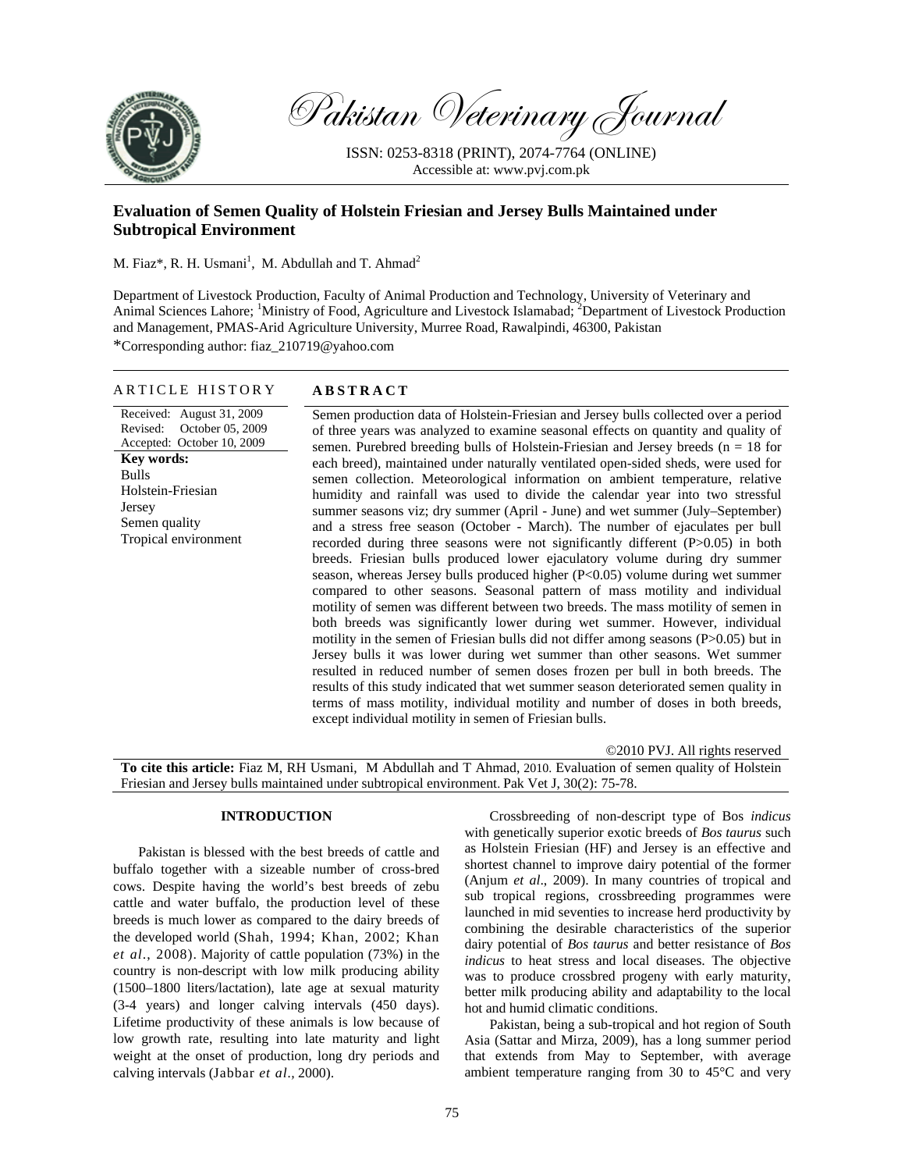

Pakistan Veterinary Journal

ISSN: 0253-8318 (PRINT), 2074-7764 (ONLINE) Accessible at: www.pvj.com.pk

# **Evaluation of Semen Quality of Holstein Friesian and Jersey Bulls Maintained under Subtropical Environment**

M. Fiaz\*, R. H. Usmani<sup>1</sup>, M. Abdullah and T. Ahmad<sup>2</sup>

Department of Livestock Production, Faculty of Animal Production and Technology, University of Veterinary and Animal Sciences Lahore; <sup>1</sup>Ministry of Food, Agriculture and Livestock Islamabad; <sup>2</sup>Department of Livestock Production and Management, PMAS-Arid Agriculture University, Murree Road, Rawalpindi, 46300, Pakistan \*Corresponding author: fiaz\_210719@yahoo.com

ARTICLE HISTORY **ABSTRACT** 

| Received: August 31, 2009<br>October 05, 2009<br>Revised:<br>Accepted: October 10, 2009<br><b>Key words:</b><br><b>Bulls</b><br>Holstein-Friesian<br>Jersey<br>Semen quality<br>Tropical environment | Semen production data of Holstein-Friesian and Jersey bulls collected over a period<br>of three years was analyzed to examine seasonal effects on quantity and quality of<br>semen. Purebred breeding bulls of Holstein-Friesian and Jersey breeds ( $n = 18$ for<br>each breed), maintained under naturally ventilated open-sided sheds, were used for<br>semen collection. Meteorological information on ambient temperature, relative<br>humidity and rainfall was used to divide the calendar year into two stressful<br>summer seasons viz; dry summer (April - June) and wet summer (July–September)<br>and a stress free season (October - March). The number of ejaculates per bull<br>recorded during three seasons were not significantly different $(P>0.05)$ in both<br>breeds. Friesian bulls produced lower ejaculatory volume during dry summer<br>season, whereas Jersey bulls produced higher $(P<0.05)$ volume during wet summer<br>compared to other seasons. Seasonal pattern of mass motility and individual<br>motility of semen was different between two breeds. The mass motility of semen in<br>both breeds was significantly lower during wet summer. However, individual<br>motility in the semen of Friesian bulls did not differ among seasons (P>0.05) but in<br>Jersey bulls it was lower during wet summer than other seasons. Wet summer<br>resulted in reduced number of semen doses frozen per bull in both breeds. The<br>results of this study indicated that wet summer season deteriorated semen quality in<br>terms of mass motility, individual motility and number of doses in both breeds,<br>except individual motility in semen of Friesian bulls. |
|------------------------------------------------------------------------------------------------------------------------------------------------------------------------------------------------------|--------------------------------------------------------------------------------------------------------------------------------------------------------------------------------------------------------------------------------------------------------------------------------------------------------------------------------------------------------------------------------------------------------------------------------------------------------------------------------------------------------------------------------------------------------------------------------------------------------------------------------------------------------------------------------------------------------------------------------------------------------------------------------------------------------------------------------------------------------------------------------------------------------------------------------------------------------------------------------------------------------------------------------------------------------------------------------------------------------------------------------------------------------------------------------------------------------------------------------------------------------------------------------------------------------------------------------------------------------------------------------------------------------------------------------------------------------------------------------------------------------------------------------------------------------------------------------------------------------------------------------------------------------------------------------------------------|
|                                                                                                                                                                                                      |                                                                                                                                                                                                                                                                                                                                                                                                                                                                                                                                                                                                                                                                                                                                                                                                                                                                                                                                                                                                                                                                                                                                                                                                                                                                                                                                                                                                                                                                                                                                                                                                                                                                                                  |

©2010 PVJ. All rights reserved

**To cite this article:** Fiaz M, RH Usmani, M Abdullah and T Ahmad, 2010. Evaluation of semen quality of Holstein Friesian and Jersey bulls maintained under subtropical environment. Pak Vet J, 30(2): 75-78.

### **INTRODUCTION**

Pakistan is blessed with the best breeds of cattle and buffalo together with a sizeable number of cross-bred cows. Despite having the world's best breeds of zebu cattle and water buffalo, the production level of these breeds is much lower as compared to the dairy breeds of the developed world (Shah, 1994; Khan, 2002; Khan *et al*., 2008). Majority of cattle population (73%) in the country is non-descript with low milk producing ability (1500–1800 liters/lactation), late age at sexual maturity (3-4 years) and longer calving intervals (450 days). Lifetime productivity of these animals is low because of low growth rate, resulting into late maturity and light weight at the onset of production, long dry periods and calving intervals (Jabbar *et al.,* 2000).

Crossbreeding of non-descript type of Bos *indicus* with genetically superior exotic breeds of *Bos taurus* such as Holstein Friesian (HF) and Jersey is an effective and shortest channel to improve dairy potential of the former (Anjum *et al*., 2009). In many countries of tropical and sub tropical regions, crossbreeding programmes were launched in mid seventies to increase herd productivity by combining the desirable characteristics of the superior dairy potential of *Bos taurus* and better resistance of *Bos indicus* to heat stress and local diseases. The objective was to produce crossbred progeny with early maturity, better milk producing ability and adaptability to the local hot and humid climatic conditions.

Pakistan, being a sub-tropical and hot region of South Asia (Sattar and Mirza, 2009), has a long summer period that extends from May to September, with average ambient temperature ranging from 30 to 45°C and very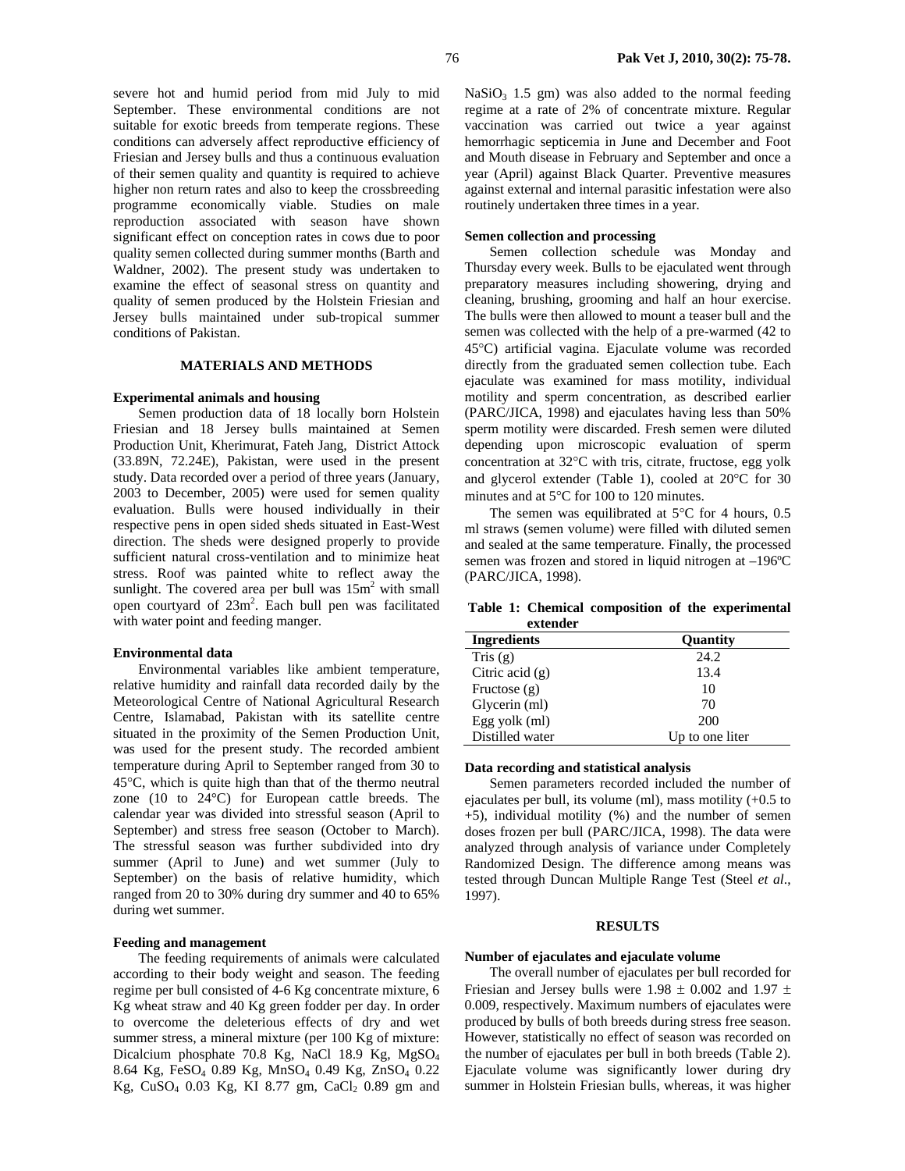severe hot and humid period from mid July to mid September. These environmental conditions are not suitable for exotic breeds from temperate regions. These conditions can adversely affect reproductive efficiency of Friesian and Jersey bulls and thus a continuous evaluation of their semen quality and quantity is required to achieve higher non return rates and also to keep the crossbreeding programme economically viable. Studies on male reproduction associated with season have shown significant effect on conception rates in cows due to poor quality semen collected during summer months (Barth and Waldner, 2002). The present study was undertaken to examine the effect of seasonal stress on quantity and quality of semen produced by the Holstein Friesian and Jersey bulls maintained under sub-tropical summer conditions of Pakistan.

# **MATERIALS AND METHODS**

### **Experimental animals and housing**

Semen production data of 18 locally born Holstein Friesian and 18 Jersey bulls maintained at Semen Production Unit, Kherimurat, Fateh Jang, District Attock (33.89N, 72.24E), Pakistan, were used in the present study. Data recorded over a period of three years (January, 2003 to December, 2005) were used for semen quality evaluation. Bulls were housed individually in their respective pens in open sided sheds situated in East-West direction. The sheds were designed properly to provide sufficient natural cross-ventilation and to minimize heat stress. Roof was painted white to reflect away the sunlight. The covered area per bull was  $15m^2$  with small open courtyard of 23m<sup>2</sup>. Each bull pen was facilitated with water point and feeding manger.

### **Environmental data**

Environmental variables like ambient temperature, relative humidity and rainfall data recorded daily by the Meteorological Centre of National Agricultural Research Centre, Islamabad, Pakistan with its satellite centre situated in the proximity of the Semen Production Unit, was used for the present study. The recorded ambient temperature during April to September ranged from 30 to 45°C, which is quite high than that of the thermo neutral zone (10 to 24°C) for European cattle breeds. The calendar year was divided into stressful season (April to September) and stress free season (October to March). The stressful season was further subdivided into dry summer (April to June) and wet summer (July to September) on the basis of relative humidity, which ranged from 20 to 30% during dry summer and 40 to 65% during wet summer.

### **Feeding and management**

The feeding requirements of animals were calculated according to their body weight and season. The feeding regime per bull consisted of 4-6 Kg concentrate mixture, 6 Kg wheat straw and 40 Kg green fodder per day. In order to overcome the deleterious effects of dry and wet summer stress, a mineral mixture (per 100 Kg of mixture: Dicalcium phosphate 70.8 Kg, NaCl 18.9 Kg, MgSO4 8.64 Kg, FeSO4 0.89 Kg, MnSO4 0.49 Kg, ZnSO4 0.22 Kg, CuSO<sub>4</sub> 0.03 Kg, KI 8.77 gm, CaCl<sub>2</sub> 0.89 gm and  $NaSiO<sub>3</sub>$  1.5 gm) was also added to the normal feeding regime at a rate of 2% of concentrate mixture. Regular vaccination was carried out twice a year against hemorrhagic septicemia in June and December and Foot and Mouth disease in February and September and once a year (April) against Black Quarter. Preventive measures against external and internal parasitic infestation were also routinely undertaken three times in a year.

## **Semen collection and processing**

Semen collection schedule was Monday and Thursday every week. Bulls to be ejaculated went through preparatory measures including showering, drying and cleaning, brushing, grooming and half an hour exercise. The bulls were then allowed to mount a teaser bull and the semen was collected with the help of a pre-warmed (42 to 45°C) artificial vagina. Ejaculate volume was recorded directly from the graduated semen collection tube. Each ejaculate was examined for mass motility, individual motility and sperm concentration, as described earlier (PARC/JICA, 1998) and ejaculates having less than 50% sperm motility were discarded. Fresh semen were diluted depending upon microscopic evaluation of sperm concentration at 32°C with tris, citrate, fructose, egg yolk and glycerol extender (Table 1), cooled at 20°C for 30 minutes and at 5°C for 100 to 120 minutes.

The semen was equilibrated at  $5^{\circ}$ C for 4 hours, 0.5 ml straws (semen volume) were filled with diluted semen and sealed at the same temperature. Finally, the processed semen was frozen and stored in liquid nitrogen at –196ºC (PARC/JICA, 1998).

**Table 1: Chemical composition of the experimental extender** 

| <b>Ingredients</b> | <b>Quantity</b> |  |  |
|--------------------|-----------------|--|--|
| Tris $(g)$         | 24.2            |  |  |
| Citric acid $(g)$  | 13.4            |  |  |
| Fructose $(g)$     | 10              |  |  |
| Glycerin (ml)      | 70              |  |  |
| Egg yolk (ml)      | 200             |  |  |
| Distilled water    | Up to one liter |  |  |

### **Data recording and statistical analysis**

Semen parameters recorded included the number of ejaculates per bull, its volume (ml), mass motility (+0.5 to +5), individual motility (%) and the number of semen doses frozen per bull (PARC/JICA, 1998). The data were analyzed through analysis of variance under Completely Randomized Design. The difference among means was tested through Duncan Multiple Range Test (Steel *et al*., 1997).

# **RESULTS**

### **Number of ejaculates and ejaculate volume**

The overall number of ejaculates per bull recorded for Friesian and Jersey bulls were  $1.98 \pm 0.002$  and  $1.97 \pm 0.002$ 0.009, respectively. Maximum numbers of ejaculates were produced by bulls of both breeds during stress free season. However, statistically no effect of season was recorded on the number of ejaculates per bull in both breeds (Table 2). Ejaculate volume was significantly lower during dry summer in Holstein Friesian bulls, whereas, it was higher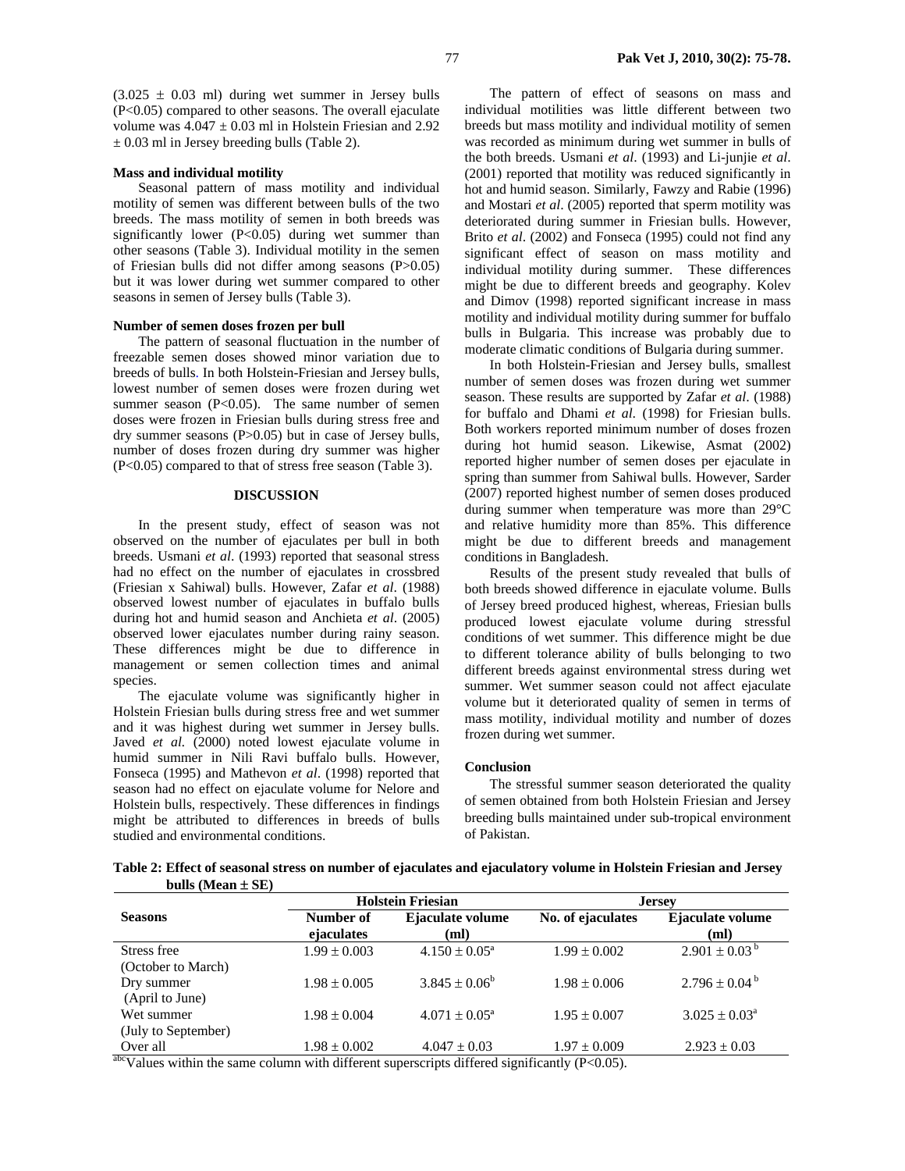### **Mass and individual motility**

Seasonal pattern of mass motility and individual motility of semen was different between bulls of the two breeds. The mass motility of semen in both breeds was significantly lower (P<0.05) during wet summer than other seasons (Table 3). Individual motility in the semen of Friesian bulls did not differ among seasons (P>0.05) but it was lower during wet summer compared to other seasons in semen of Jersey bulls (Table 3).

### **Number of semen doses frozen per bull**

 $\pm$  0.03 ml in Jersey breeding bulls (Table 2).

The pattern of seasonal fluctuation in the number of freezable semen doses showed minor variation due to breeds of bulls. In both Holstein-Friesian and Jersey bulls, lowest number of semen doses were frozen during wet summer season  $(P<0.05)$ . The same number of semen doses were frozen in Friesian bulls during stress free and dry summer seasons (P>0.05) but in case of Jersey bulls, number of doses frozen during dry summer was higher (P<0.05) compared to that of stress free season (Table 3).

## **DISCUSSION**

In the present study, effect of season was not observed on the number of ejaculates per bull in both breeds. Usmani *et al*. (1993) reported that seasonal stress had no effect on the number of ejaculates in crossbred (Friesian x Sahiwal) bulls. However, Zafar *et al*. (1988) observed lowest number of ejaculates in buffalo bulls during hot and humid season and Anchieta *et al*. (2005) observed lower ejaculates number during rainy season. These differences might be due to difference in management or semen collection times and animal species.

The ejaculate volume was significantly higher in Holstein Friesian bulls during stress free and wet summer and it was highest during wet summer in Jersey bulls. Javed *et al.* (2000) noted lowest ejaculate volume in humid summer in Nili Ravi buffalo bulls. However, Fonseca (1995) and Mathevon *et al*. (1998) reported that season had no effect on ejaculate volume for Nelore and Holstein bulls, respectively. These differences in findings might be attributed to differences in breeds of bulls studied and environmental conditions.

The pattern of effect of seasons on mass and individual motilities was little different between two breeds but mass motility and individual motility of semen was recorded as minimum during wet summer in bulls of the both breeds. Usmani *et al*. (1993) and Li-junjie *et al*. (2001) reported that motility was reduced significantly in hot and humid season. Similarly, Fawzy and Rabie (1996) and Mostari *et al*. (2005) reported that sperm motility was deteriorated during summer in Friesian bulls. However, Brito *et al*. (2002) and Fonseca (1995) could not find any significant effect of season on mass motility and individual motility during summer. These differences might be due to different breeds and geography. Kolev and Dimov (1998) reported significant increase in mass motility and individual motility during summer for buffalo bulls in Bulgaria. This increase was probably due to moderate climatic conditions of Bulgaria during summer.

In both Holstein-Friesian and Jersey bulls, smallest number of semen doses was frozen during wet summer season. These results are supported by Zafar *et al*. (1988) for buffalo and Dhami *et al*. (1998) for Friesian bulls. Both workers reported minimum number of doses frozen during hot humid season. Likewise, Asmat (2002) reported higher number of semen doses per ejaculate in spring than summer from Sahiwal bulls. However, Sarder (2007) reported highest number of semen doses produced during summer when temperature was more than 29°C and relative humidity more than 85%. This difference might be due to different breeds and management conditions in Bangladesh.

Results of the present study revealed that bulls of both breeds showed difference in ejaculate volume. Bulls of Jersey breed produced highest, whereas, Friesian bulls produced lowest ejaculate volume during stressful conditions of wet summer. This difference might be due to different tolerance ability of bulls belonging to two different breeds against environmental stress during wet summer. Wet summer season could not affect ejaculate volume but it deteriorated quality of semen in terms of mass motility, individual motility and number of dozes frozen during wet summer.

### **Conclusion**

The stressful summer season deteriorated the quality of semen obtained from both Holstein Friesian and Jersey breeding bulls maintained under sub-tropical environment of Pakistan.

**Table 2: Effect of seasonal stress on number of ejaculates and ejaculatory volume in Holstein Friesian and Jersey bulls (Mean** ± **SE)** 

|                                                                                                                                                                                                             | <b>Holstein Friesian</b> |                          | <b>Jersey</b>     |                               |  |  |  |
|-------------------------------------------------------------------------------------------------------------------------------------------------------------------------------------------------------------|--------------------------|--------------------------|-------------------|-------------------------------|--|--|--|
| <b>Seasons</b>                                                                                                                                                                                              | Number of<br>ejaculates  | Ejaculate volume<br>(ml) | No. of ejaculates | Ejaculate volume<br>(ml)      |  |  |  |
| Stress free                                                                                                                                                                                                 | $1.99 \pm 0.003$         | $4.150 \pm 0.05^{\circ}$ | $1.99 \pm 0.002$  | $2.901 \pm 0.03^{\mathrm{b}}$ |  |  |  |
| (October to March)                                                                                                                                                                                          |                          |                          |                   |                               |  |  |  |
| Dry summer                                                                                                                                                                                                  | $1.98 \pm 0.005$         | $3.845 \pm 0.06^b$       | $1.98 \pm 0.006$  | $2.796 \pm 0.04^{\mathrm{b}}$ |  |  |  |
| (April to June)                                                                                                                                                                                             |                          |                          |                   |                               |  |  |  |
| Wet summer                                                                                                                                                                                                  | $1.98 \pm 0.004$         | $4.071 \pm 0.05^{\circ}$ | $1.95 \pm 0.007$  | $3.025 \pm 0.03^{\circ}$      |  |  |  |
| (July to September)                                                                                                                                                                                         |                          |                          |                   |                               |  |  |  |
| Over all                                                                                                                                                                                                    | $1.98 \pm 0.002$         | $4.047 \pm 0.03$         | $1.97 \pm 0.009$  | $2.923 \pm 0.03$              |  |  |  |
| $abc_{1,1}$ $\ldots$ $abc_{1,1}$ $\ldots$ $db_{n}$ $db_{n}$ $db_{n}$ $db_{n}$ $db_{n}$ $db_{n}$ $db_{n}$ $db_{n}$ $db_{n}$ $db_{n}$ $db_{n}$ $db_{n}$ $db_{n}$ $db_{n}$ $db_{n}$ $db_{n}$ $db_{n}$ $db_{n}$ |                          |                          |                   |                               |  |  |  |

Values within the same column with different superscripts differed significantly (P<0.05).